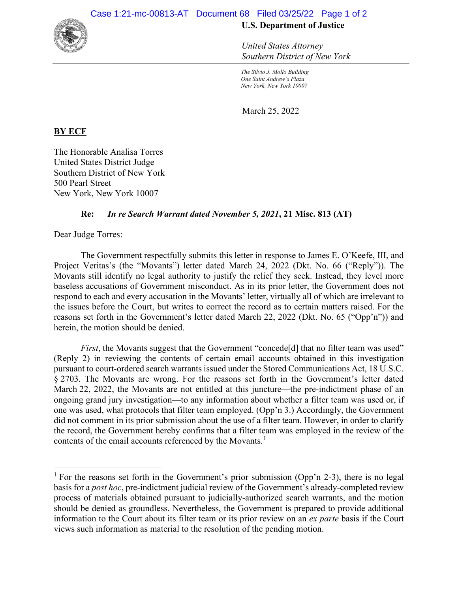

*United States Attorney Southern District of New York*

*The Silvio J. Mollo Building One Saint Andrew's Plaza New York, New York 10007*

March 25, 2022

## **BY ECF**

The Honorable Analisa Torres United States District Judge Southern District of New York 500 Pearl Street New York, New York 10007

## **Re:** *In re Search Warrant dated November 5, 2021***, 21 Misc. 813 (AT)**

Dear Judge Torres:

The Government respectfully submits this letter in response to James E. O'Keefe, III, and Project Veritas's (the "Movants") letter dated March 24, 2022 (Dkt. No. 66 ("Reply")). The Movants still identify no legal authority to justify the relief they seek. Instead, they level more baseless accusations of Government misconduct. As in its prior letter, the Government does not respond to each and every accusation in the Movants' letter, virtually all of which are irrelevant to the issues before the Court, but writes to correct the record as to certain matters raised. For the reasons set forth in the Government's letter dated March 22, 2022 (Dkt. No. 65 ("Opp'n")) and herein, the motion should be denied.

*First*, the Movants suggest that the Government "concede<sup>[d]</sup> that no filter team was used" (Reply 2) in reviewing the contents of certain email accounts obtained in this investigation pursuant to court-ordered search warrants issued under the Stored Communications Act, 18 U.S.C. § 2703. The Movants are wrong. For the reasons set forth in the Government's letter dated March 22, 2022, the Movants are not entitled at this juncture—the pre-indictment phase of an ongoing grand jury investigation—to any information about whether a filter team was used or, if one was used, what protocols that filter team employed. (Opp'n 3.) Accordingly, the Government did not comment in its prior submission about the use of a filter team. However, in order to clarify the record, the Government hereby confirms that a filter team was employed in the review of the contents of the email accounts referenced by the Movants.<sup>1</sup>

<sup>&</sup>lt;sup>1</sup> For the reasons set forth in the Government's prior submission (Opp'n 2-3), there is no legal basis for a *post hoc*, pre-indictment judicial review of the Government's already-completed review process of materials obtained pursuant to judicially-authorized search warrants, and the motion should be denied as groundless. Nevertheless, the Government is prepared to provide additional information to the Court about its filter team or its prior review on an *ex parte* basis if the Court views such information as material to the resolution of the pending motion.